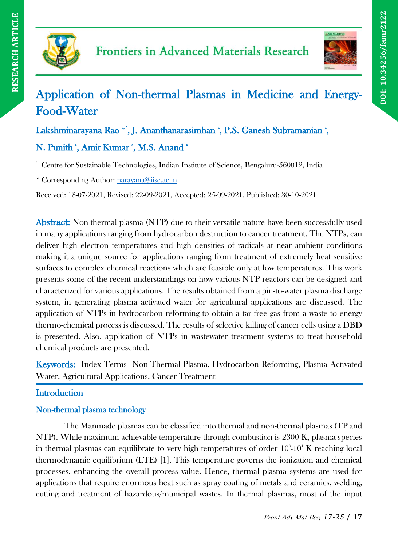



# Application of Non-thermal Plasmas in Medicine and Energy-Food-Water

Lakshminarayana Rao \*', J. Ananthanarasimhan \*, P.S. Ganesh Subramanian \*, N. Punith ', Amit Kumar ', M.S. Anand '

<sup>a</sup> Centre for Sustainable Technologies, Indian Institute of Science, Bengaluru-560012, India

\* Corresponding Author: [narayana@iisc.ac.in](mailto:narayana@iisc.ac.in)

Received: 13-07-2021, Revised: 22-09-2021, Accepted: 25-09-2021, Published: 30-10-2021

Abstract: Non-thermal plasma (NTP) due to their versatile nature have been successfully used in many applications ranging from hydrocarbon destruction to cancer treatment. The NTPs, can deliver high electron temperatures and high densities of radicals at near ambient conditions making it a unique source for applications ranging from treatment of extremely heat sensitive surfaces to complex chemical reactions which are feasible only at low temperatures. This work presents some of the recent understandings on how various NTP reactors can be designed and characterized for various applications. The results obtained from a pin-to-water plasma discharge system, in generating plasma activated water for agricultural applications are discussed. The application of NTPs in hydrocarbon reforming to obtain a tar-free gas from a waste to energy thermo-chemical process is discussed. The results of selective killing of cancer cells using a DBD is presented. Also, application of NTPs in wastewater treatment systems to treat household chemical products are presented.

Keywords: Index Terms—Non-Thermal Plasma, Hydrocarbon Reforming, Plasma Activated Water, Agricultural Applications, Cancer Treatment

# **Introduction**

# Non-thermal plasma technology

The Manmade plasmas can be classified into thermal and non-thermal plasmas (TP and NTP). While maximum achievable temperature through combustion is 2300 K, plasma species in thermal plasmas can equilibrate to very high temperatures of order  $10^3$ - $10^4$  K reaching local thermodynamic equilibrium (LTE) [1]. This temperature governs the ionization and chemical processes, enhancing the overall process value. Hence, thermal plasma systems are used for applications that require enormous heat such as spray coating of metals and ceramics, welding, cutting and treatment of hazardous/municipal wastes. In thermal plasmas, most of the input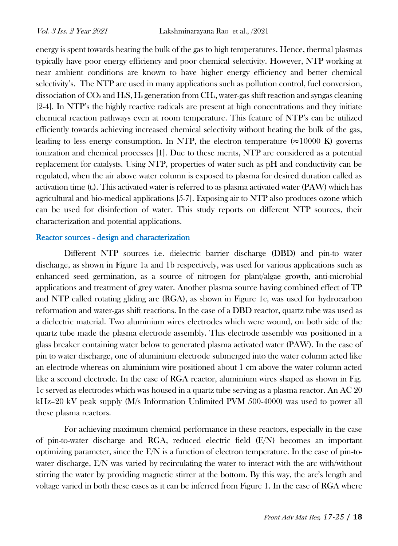energy is spent towards heating the bulk of the gas to high temperatures. Hence, thermal plasmas typically have poor energy efficiency and poor chemical selectivity. However, NTP working at near ambient conditions are known to have higher energy efficiency and better chemical selectivity's. The NTP are used in many applications such as pollution control, fuel conversion, dissociation of  $CO_2$  and H<sub>2</sub>S, H<sub>2</sub> generation from CH<sub>4</sub>, water-gas shift reaction and syngas cleaning [2-4]. In NTP's the highly reactive radicals are present at high concentrations and they initiate chemical reaction pathways even at room temperature. This feature of NTP's can be utilized efficiently towards achieving increased chemical selectivity without heating the bulk of the gas, leading to less energy consumption. In NTP, the electron temperature ( $\approx$ 10000 K) governs ionization and chemical processes [1]. Due to these merits, NTP are considered as a potential replacement for catalysts. Using NTP, properties of water such as pH and conductivity can be regulated, when the air above water column is exposed to plasma for desired duration called as activation time  $(t_0)$ . This activated water is referred to as plasma activated water (PAW) which has agricultural and bio-medical applications [5-7]. Exposing air to NTP also produces ozone which can be used for disinfection of water. This study reports on different NTP sources, their characterization and potential applications.

#### Reactor sources - design and characterization

Different NTP sources i.e. dielectric barrier discharge (DBD) and pin-to water discharge, as shown in Figure 1a and 1b respectively, was used for various applications such as enhanced seed germination, as a source of nitrogen for plant/algae growth, anti-microbial applications and treatment of grey water. Another plasma source having combined effect of TP and NTP called rotating gliding arc (RGA), as shown in Figure 1c, was used for hydrocarbon reformation and water-gas shift reactions. In the case of a DBD reactor, quartz tube was used as a dielectric material. Two aluminium wires electrodes which were wound, on both side of the quartz tube made the plasma electrode assembly. This electrode assembly was positioned in a glass breaker containing water below to generated plasma activated water (PAW). In the case of pin to water discharge, one of aluminium electrode submerged into the water column acted like an electrode whereas on aluminium wire positioned about 1 cm above the water column acted like a second electrode. In the case of RGA reactor, aluminium wires shaped as shown in Fig. 1c served as electrodes which was housed in a quartz tube serving as a plasma reactor. An AC 20 kHz–20 kV peak supply (M/s Information Unlimited PVM 500-4000) was used to power all these plasma reactors.

For achieving maximum chemical performance in these reactors, especially in the case of pin-to-water discharge and RGA, reduced electric field (E/N) becomes an important optimizing parameter, since the  $E/N$  is a function of electron temperature. In the case of pin-towater discharge, E/N was varied by recirculating the water to interact with the arc with/without stirring the water by providing magnetic stirrer at the bottom. By this way, the arc's length and voltage varied in both these cases as it can be inferred from Figure 1. In the case of RGA where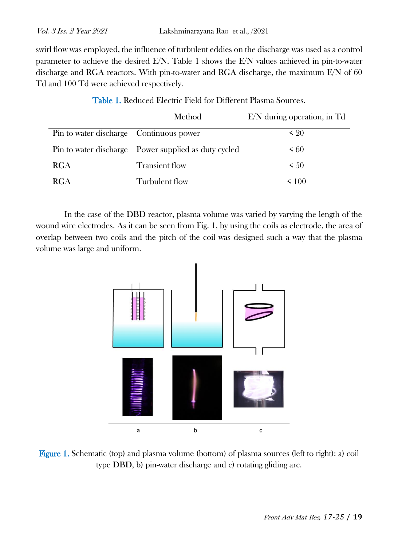swirl flow was employed, the influence of turbulent eddies on the discharge was used as a control parameter to achieve the desired E/N. Table 1 shows the E/N values achieved in pin-to-water discharge and RGA reactors. With pin-to-water and RGA discharge, the maximum E/N of 60 Td and 100 Td were achieved respectively.

| Method                                               | $E/N$ during operation, in Td |
|------------------------------------------------------|-------------------------------|
| Pin to water discharge Continuous power              | $\leq 20$                     |
| Pin to water discharge Power supplied as duty cycled | $\leq 60$                     |
| <b>Transient flow</b>                                | $\leq 50$                     |
| Turbulent flow                                       | < 100                         |
|                                                      |                               |

In the case of the DBD reactor, plasma volume was varied by varying the length of the wound wire electrodes. As it can be seen from Fig. 1, by using the coils as electrode, the area of overlap between two coils and the pitch of the coil was designed such a way that the plasma volume was large and uniform.



Figure 1. Schematic (top) and plasma volume (bottom) of plasma sources (left to right): a) coil type DBD, b) pin-water discharge and c) rotating gliding arc.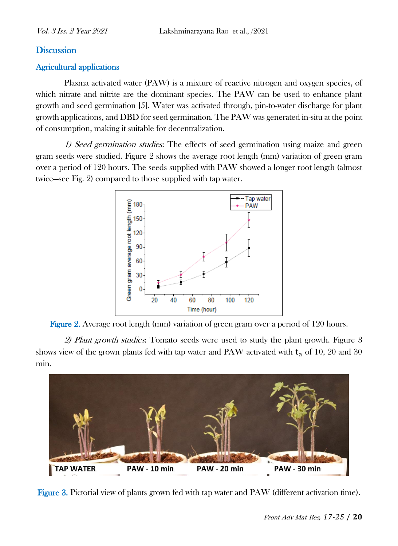#### **Discussion**

#### Agricultural applications

Plasma activated water (PAW) is a mixture of reactive nitrogen and oxygen species, of which nitrate and nitrite are the dominant species. The PAW can be used to enhance plant growth and seed germination [5]. Water was activated through, pin-to-water discharge for plant growth applications, and DBD for seed germination. The PAW was generated in-situ at the point of consumption, making it suitable for decentralization.

1) Seed germination studies: The effects of seed germination using maize and green gram seeds were studied. Figure 2 shows the average root length (mm) variation of green gram over a period of 120 hours. The seeds supplied with PAW showed a longer root length (almost twice—see Fig. 2) compared to those supplied with tap water.





2) Plant growth studies: Tomato seeds were used to study the plant growth. Figure 3 shows view of the grown plants fed with tap water and PAW activated with  $t_a$  of 10, 20 and 30 min.



Figure 3. Pictorial view of plants grown fed with tap water and PAW (different activation time).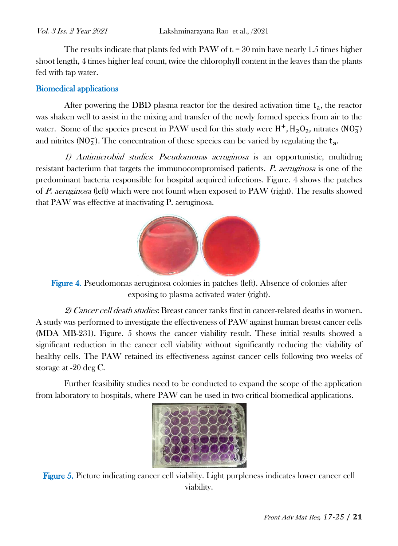The results indicate that plants fed with PAW of  $t_a = 30$  min have nearly 1.5 times higher shoot length, 4 times higher leaf count, twice the chlorophyll content in the leaves than the plants fed with tap water.

### Biomedical applications

After powering the DBD plasma reactor for the desired activation time  $t_a$ , the reactor was shaken well to assist in the mixing and transfer of the newly formed species from air to the water. Some of the species present in PAW used for this study were  $H^+$ ,  $H_2O_2$ , nitrates (NO<sub>3</sub>) and nitrites ( $NO<sub>2</sub>$ ). The concentration of these species can be varied by regulating the  $t_a$ .

1) Antimicrobial studies: Pseudomonas aeruginosa is an opportunistic, multidrug resistant bacterium that targets the immunocompromised patients. P. aeruginosa is one of the predominant bacteria responsible for hospital acquired infections. Figure. 4 shows the patches of P. aeruginosa (left) which were not found when exposed to PAW (right). The results showed that PAW was effective at inactivating P. aeruginosa.



Figure 4. Pseudomonas aeruginosa colonies in patches (left). Absence of colonies after exposing to plasma activated water (right).

2) Cancer cell death studies: Breast cancer ranks first in cancer-related deaths in women. A study was performed to investigate the effectiveness of PAW against human breast cancer cells (MDA MB-231). Figure. 5 shows the cancer viability result. These initial results showed a significant reduction in the cancer cell viability without significantly reducing the viability of healthy cells. The PAW retained its effectiveness against cancer cells following two weeks of storage at -20 deg C.

Further feasibility studies need to be conducted to expand the scope of the application from laboratory to hospitals, where PAW can be used in two critical biomedical applications.



Figure 5. Picture indicating cancer cell viability. Light purpleness indicates lower cancer cell viability.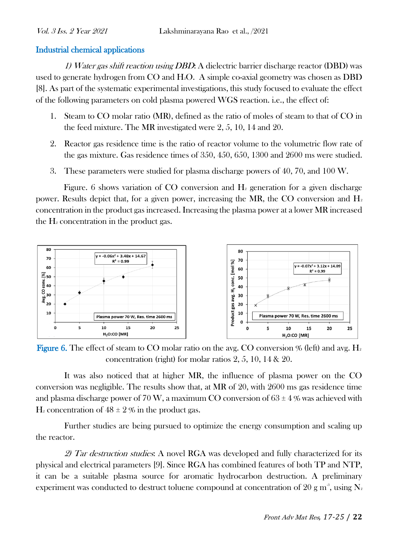#### Industrial chemical applications

1) Water gas shift reaction using DBD: A dielectric barrier discharge reactor (DBD) was used to generate hydrogen from  $CO$  and  $H_2O$ . A simple co-axial geometry was chosen as DBD [8]. As part of the systematic experimental investigations, this study focused to evaluate the effect of the following parameters on cold plasma powered WGS reaction. i.e., the effect of:

- 1. Steam to CO molar ratio (MR), defined as the ratio of moles of steam to that of CO in the feed mixture. The MR investigated were 2, 5, 10, 14 and 20.
- 2. Reactor gas residence time is the ratio of reactor volume to the volumetric flow rate of the gas mixture. Gas residence times of 350, 450, 650, 1300 and 2600 ms were studied.
- 3. These parameters were studied for plasma discharge powers of 40, 70, and 100 W.

Figure. 6 shows variation of CO conversion and  $H_2$  generation for a given discharge power. Results depict that, for a given power, increasing the MR, the CO conversion and  $H_2$ concentration in the product gas increased. Increasing the plasma power at a lower MR increased the  $H_2$  concentration in the product gas.



**Figure 6.** The effect of steam to CO molar ratio on the avg. CO conversion  $\%$  (left) and avg. H<sub>2</sub> concentration (right) for molar ratios 2, 5, 10, 14 & 20.

It was also noticed that at higher MR, the influence of plasma power on the CO conversion was negligible. The results show that, at MR of 20, with 2600 ms gas residence time and plasma discharge power of 70 W, a maximum CO conversion of  $63 \pm 4$  % was achieved with  $H_2$  concentration of  $48 \pm 2\%$  in the product gas.

Further studies are being pursued to optimize the energy consumption and scaling up the reactor.

2) Tar destruction studies: A novel RGA was developed and fully characterized for its physical and electrical parameters [9]. Since RGA has combined features of both TP and NTP, it can be a suitable plasma source for aromatic hydrocarbon destruction. A preliminary experiment was conducted to destruct toluene compound at concentration of 20 g m $^3$ , using  $\rm N_z$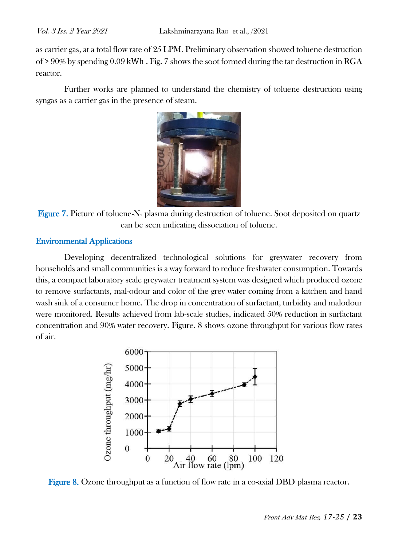as carrier gas, at a total flow rate of 25 LPM. Preliminary observation showed toluene destruction of  $> 90\%$  by spending 0.09 kWh. Fig. 7 shows the soot formed during the tar destruction in RGA reactor.

Further works are planned to understand the chemistry of toluene destruction using syngas as a carrier gas in the presence of steam.



**Figure 7.** Picture of toluene-N<sub>2</sub> plasma during destruction of toluene. Soot deposited on quartz can be seen indicating dissociation of toluene.

#### Environmental Applications

Developing decentralized technological solutions for greywater recovery from households and small communities is a way forward to reduce freshwater consumption. Towards this, a compact laboratory scale greywater treatment system was designed which produced ozone to remove surfactants, mal-odour and color of the grey water coming from a kitchen and hand wash sink of a consumer home. The drop in concentration of surfactant, turbidity and malodour were monitored. Results achieved from lab-scale studies, indicated 50% reduction in surfactant concentration and 90% water recovery. Figure. 8 shows ozone throughput for various flow rates of air.



Figure 8. Ozone throughput as a function of flow rate in a co-axial DBD plasma reactor.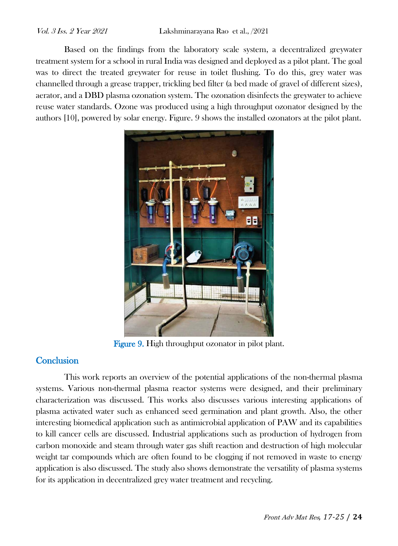Based on the findings from the laboratory scale system, a decentralized greywater treatment system for a school in rural India was designed and deployed as a pilot plant. The goal was to direct the treated greywater for reuse in toilet flushing. To do this, grey water was channelled through a grease trapper, trickling bed filter (a bed made of gravel of different sizes), aerator, and a DBD plasma ozonation system. The ozonation disinfects the greywater to achieve reuse water standards. Ozone was produced using a high throughput ozonator designed by the authors [10], powered by solar energy. Figure. 9 shows the installed ozonators at the pilot plant.



Figure 9. High throughput ozonator in pilot plant.

# **Conclusion**

This work reports an overview of the potential applications of the non-thermal plasma systems. Various non-thermal plasma reactor systems were designed, and their preliminary characterization was discussed. This works also discusses various interesting applications of plasma activated water such as enhanced seed germination and plant growth. Also, the other interesting biomedical application such as antimicrobial application of PAW and its capabilities to kill cancer cells are discussed. Industrial applications such as production of hydrogen from carbon monoxide and steam through water gas shift reaction and destruction of high molecular weight tar compounds which are often found to be clogging if not removed in waste to energy application is also discussed. The study also shows demonstrate the versatility of plasma systems for its application in decentralized grey water treatment and recycling.